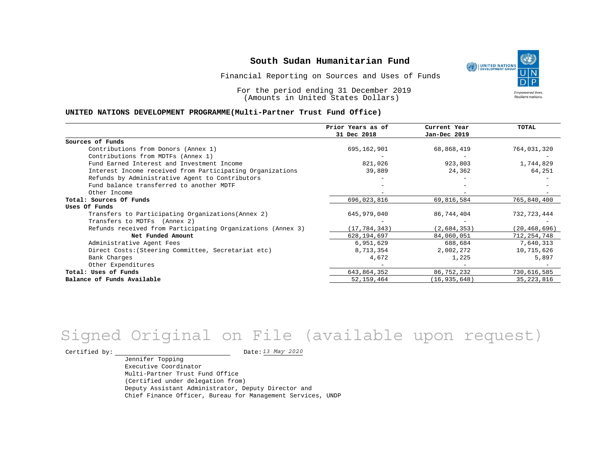Financial Reporting on Sources and Uses of Funds

For the period ending 31 December 2019 (Amounts in United States Dollars)

#### **UNITED NATIONS DEVELOPMENT PROGRAMME(Multi-Partner Trust Fund Office)**

|                                                             | Prior Years as of | Current Year   | TOTAL          |
|-------------------------------------------------------------|-------------------|----------------|----------------|
|                                                             | 31 Dec 2018       | Jan-Dec 2019   |                |
| Sources of Funds                                            |                   |                |                |
| Contributions from Donors (Annex 1)                         | 695,162,901       | 68,868,419     | 764,031,320    |
| Contributions from MDTFs (Annex 1)                          |                   |                |                |
| Fund Earned Interest and Investment Income                  | 821,026           | 923,803        | 1,744,829      |
| Interest Income received from Participating Organizations   | 39,889            | 24,362         | 64,251         |
| Refunds by Administrative Agent to Contributors             |                   |                |                |
| Fund balance transferred to another MDTF                    |                   |                |                |
| Other Income                                                |                   |                |                |
| Total: Sources Of Funds                                     | 696,023,816       | 69,816,584     | 765,840,400    |
| Uses Of Funds                                               |                   |                |                |
| Transfers to Participating Organizations (Annex 2)          | 645,979,040       | 86,744,404     | 732,723,444    |
| Transfers to MDTFs (Annex 2)                                |                   |                |                |
| Refunds received from Participating Organizations (Annex 3) | (17, 784, 343)    | (2,684,353)    | (20, 468, 696) |
| Net Funded Amount                                           | 628, 194, 697     | 84,060,051     | 712, 254, 748  |
| Administrative Agent Fees                                   | 6,951,629         | 688,684        | 7,640,313      |
| Direct Costs: (Steering Committee, Secretariat etc)         | 8,713,354         | 2,002,272      | 10,715,626     |
| Bank Charges                                                | 4,672             | 1,225          | 5,897          |
| Other Expenditures                                          |                   |                |                |
| Total: Uses of Funds                                        | 643,864,352       | 86,752,232     | 730,616,585    |
| Balance of Funds Available                                  | 52, 159, 464      | (16, 935, 648) | 35, 223, 816   |

# *13 May 2020* Signed Original on File (available upon request)

Certified by:  $\frac{13 May 2020}{1200}$ 

Jennifer Topping Executive Coordinator Multi-Partner Trust Fund Office (Certified under delegation from) Deputy Assistant Administrator, Deputy Director and Chief Finance Officer, Bureau for Management Services, UNDP

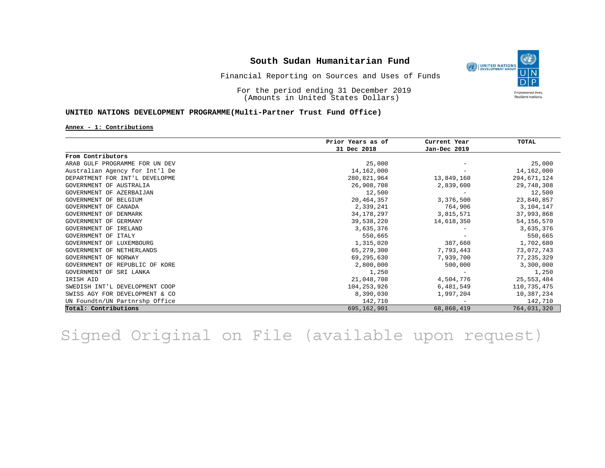

### Financial Reporting on Sources and Uses of Funds

For the period ending 31 December 2019 (Amounts in United States Dollars)

### **UNITED NATIONS DEVELOPMENT PROGRAMME(Multi-Partner Trust Fund Office)**

#### **Annex - 1: Contributions**

|                                | Prior Years as of | Current Year | <b>TOTAL</b>  |
|--------------------------------|-------------------|--------------|---------------|
|                                | 31 Dec 2018       | Jan-Dec 2019 |               |
| From Contributors              |                   |              |               |
| ARAB GULF PROGRAMME FOR UN DEV | 25,000            |              | 25,000        |
| Australian Agency for Int'l De | 14,162,000        |              | 14, 162, 000  |
| DEPARTMENT FOR INT'L DEVELOPME | 280,821,964       | 13,849,160   | 294,671,124   |
| GOVERNMENT OF AUSTRALIA        | 26,908,708        | 2,839,600    | 29,748,308    |
| GOVERNMENT OF AZERBAIJAN       | 12,500            |              | 12,500        |
| GOVERNMENT OF BELGIUM          | 20,464,357        | 3,376,500    | 23,840,857    |
| GOVERNMENT OF CANADA           | 2,339,241         | 764,906      | 3,104,147     |
| GOVERNMENT OF DENMARK          | 34, 178, 297      | 3,815,571    | 37,993,868    |
| GOVERNMENT OF GERMANY          | 39,538,220        | 14,618,350   | 54, 156, 570  |
| GOVERNMENT OF IRELAND          | 3,635,376         |              | 3,635,376     |
| GOVERNMENT OF ITALY            | 550,665           |              | 550,665       |
| GOVERNMENT OF LUXEMBOURG       | 1,315,020         | 387,660      | 1,702,680     |
| GOVERNMENT OF NETHERLANDS      | 65,279,300        | 7,793,443    | 73,072,743    |
| GOVERNMENT OF NORWAY           | 69,295,630        | 7,939,700    | 77, 235, 329  |
| GOVERNMENT OF REPUBLIC OF KORE | 2,800,000         | 500,000      | 3,300,000     |
| GOVERNMENT OF SRI LANKA        | 1,250             |              | 1,250         |
| IRISH AID                      | 21,048,708        | 4,504,776    | 25,553,484    |
| SWEDISH INT'L DEVELOPMENT COOP | 104, 253, 926     | 6,481,549    | 110, 735, 475 |
| SWISS AGY FOR DEVELOPMENT & CO | 8,390,030         | 1,997,204    | 10,387,234    |
| UN Foundtn/UN Partnrshp Office | 142,710           |              | 142,710       |
| Total: Contributions           | 695,162,901       | 68,868,419   | 764,031,320   |

Signed Original on File (available upon request)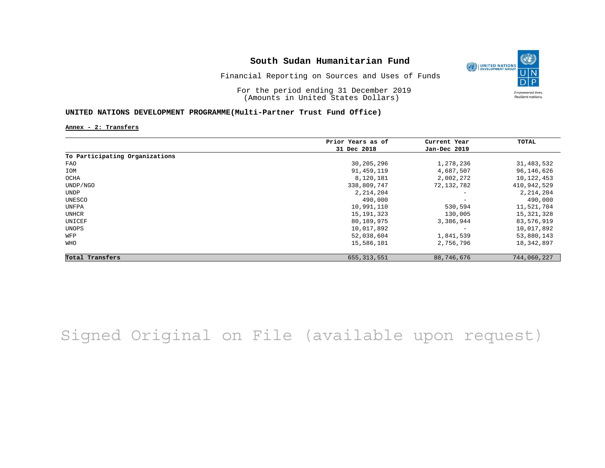

Financial Reporting on Sources and Uses of Funds

For the period ending 31 December 2019 (Amounts in United States Dollars)

### **UNITED NATIONS DEVELOPMENT PROGRAMME(Multi-Partner Trust Fund Office)**

**Annex - 2: Transfers**

|                                | Prior Years as of | Current Year             | TOTAL       |
|--------------------------------|-------------------|--------------------------|-------------|
|                                | 31 Dec 2018       | Jan-Dec 2019             |             |
| To Participating Organizations |                   |                          |             |
| FAO                            | 30,205,296        | 1,278,236                | 31,483,532  |
| IOM                            | 91,459,119        | 4,687,507                | 96,146,626  |
| OCHA                           | 8,120,181         | 2,002,272                | 10,122,453  |
| UNDP/NGO                       | 338,809,747       | 72,132,782               | 410,942,529 |
| <b>UNDP</b>                    | 2, 214, 204       | $\overline{\phantom{a}}$ | 2, 214, 204 |
| UNESCO                         | 490,000           | $\qquad \qquad -$        | 490,000     |
| UNFPA                          | 10,991,110        | 530,594                  | 11,521,704  |
| UNHCR                          | 15, 191, 323      | 130,005                  | 15,321,328  |
| UNICEF                         | 80,189,975        | 3,386,944                | 83,576,919  |
| UNOPS                          | 10,017,892        |                          | 10,017,892  |
| WFP                            | 52,038,604        | 1,841,539                | 53,880,143  |
| WHO                            | 15,586,101        | 2,756,796                | 18,342,897  |
| Total Transfers                | 655, 313, 551     | 88,746,676               | 744,060,227 |

# Signed Original on File (available upon request)